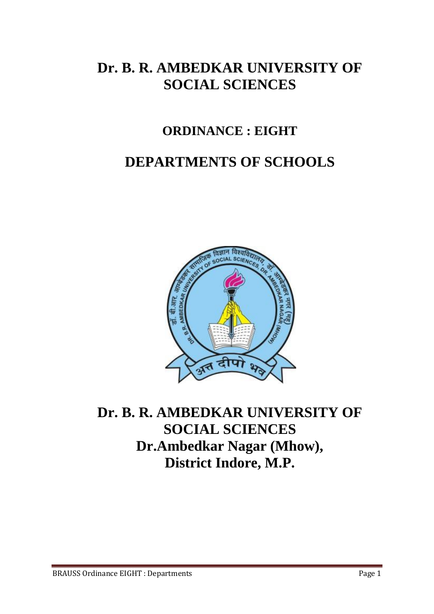## **Dr. B. R. AMBEDKAR UNIVERSITY OF SOCIAL SCIENCES**

### **ORDINANCE : EIGHT**

# **DEPARTMENTS OF SCHOOLS**



## **Dr. B. R. AMBEDKAR UNIVERSITY OF SOCIAL SCIENCES Dr.Ambedkar Nagar (Mhow), District Indore, M.P.**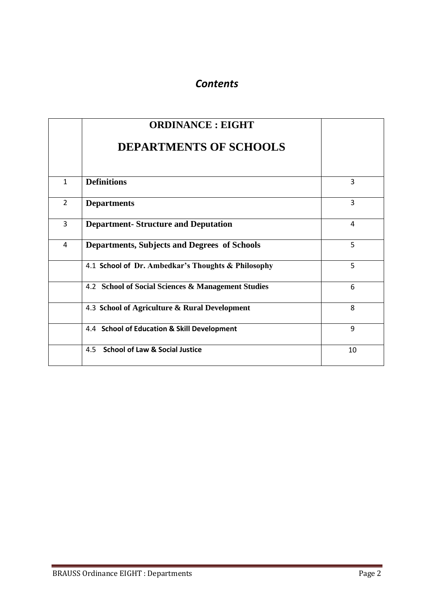#### *Contents*

|                | <b>ORDINANCE: EIGHT</b>                             |    |
|----------------|-----------------------------------------------------|----|
|                | <b>DEPARTMENTS OF SCHOOLS</b>                       |    |
| $\mathbf{1}$   | <b>Definitions</b>                                  | 3  |
| $\overline{2}$ | <b>Departments</b>                                  | 3  |
| 3              | <b>Department-Structure and Deputation</b>          | 4  |
| 4              | <b>Departments, Subjects and Degrees of Schools</b> | 5  |
|                | 4.1 School of Dr. Ambedkar's Thoughts & Philosophy  | 5  |
|                | 4.2 School of Social Sciences & Management Studies  | 6  |
|                | 4.3 School of Agriculture & Rural Development       | 8  |
|                | 4.4 School of Education & Skill Development         | 9  |
|                | <b>School of Law &amp; Social Justice</b><br>4.5    | 10 |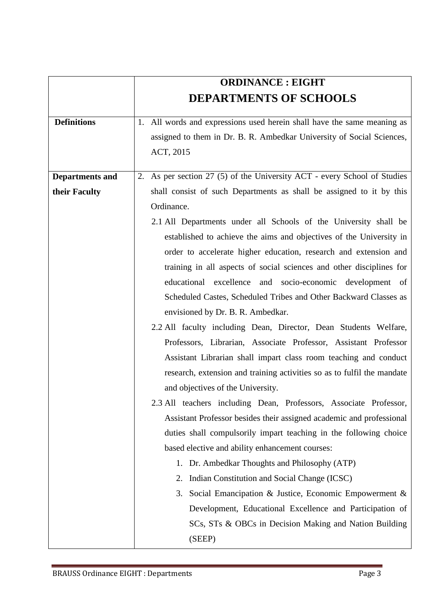|                        | <b>ORDINANCE: EIGHT</b>                                                  |  |  |
|------------------------|--------------------------------------------------------------------------|--|--|
|                        | <b>DEPARTMENTS OF SCHOOLS</b>                                            |  |  |
| <b>Definitions</b>     | 1. All words and expressions used herein shall have the same meaning as  |  |  |
|                        | assigned to them in Dr. B. R. Ambedkar University of Social Sciences,    |  |  |
|                        | ACT, 2015                                                                |  |  |
| <b>Departments and</b> | 2. As per section 27 (5) of the University ACT - every School of Studies |  |  |
| their Faculty          | shall consist of such Departments as shall be assigned to it by this     |  |  |
|                        | Ordinance.                                                               |  |  |
|                        | 2.1 All Departments under all Schools of the University shall be         |  |  |
|                        | established to achieve the aims and objectives of the University in      |  |  |
|                        | order to accelerate higher education, research and extension and         |  |  |
|                        | training in all aspects of social sciences and other disciplines for     |  |  |
|                        | educational excellence and socio-economic development of                 |  |  |
|                        | Scheduled Castes, Scheduled Tribes and Other Backward Classes as         |  |  |
|                        | envisioned by Dr. B. R. Ambedkar.                                        |  |  |
|                        | 2.2 All faculty including Dean, Director, Dean Students Welfare,         |  |  |
|                        | Professors, Librarian, Associate Professor, Assistant Professor          |  |  |
|                        | Assistant Librarian shall impart class room teaching and conduct         |  |  |
|                        | research, extension and training activities so as to fulfil the mandate  |  |  |
|                        | and objectives of the University.                                        |  |  |
|                        | 2.3 All teachers including Dean, Professors, Associate Professor,        |  |  |
|                        | Assistant Professor besides their assigned academic and professional     |  |  |
|                        | duties shall compulsorily impart teaching in the following choice        |  |  |
|                        | based elective and ability enhancement courses:                          |  |  |
|                        | 1. Dr. Ambedkar Thoughts and Philosophy (ATP)                            |  |  |
|                        | Indian Constitution and Social Change (ICSC)<br>2.                       |  |  |
|                        | Social Emancipation & Justice, Economic Empowerment &<br>3.              |  |  |
|                        | Development, Educational Excellence and Participation of                 |  |  |
|                        | SCs, STs & OBCs in Decision Making and Nation Building                   |  |  |
|                        | (SEEP)                                                                   |  |  |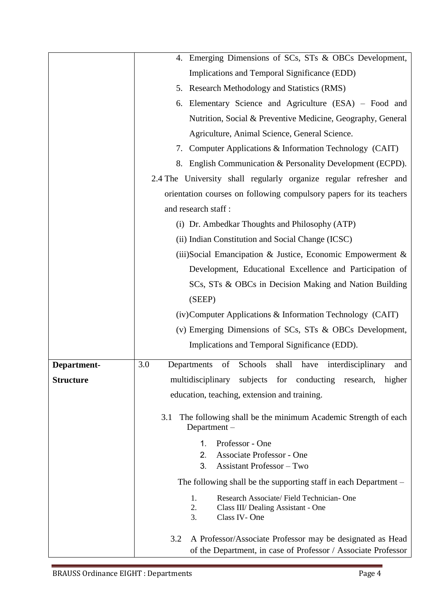|                  | 4. Emerging Dimensions of SCs, STs & OBCs Development,                                    |  |  |  |
|------------------|-------------------------------------------------------------------------------------------|--|--|--|
|                  | Implications and Temporal Significance (EDD)                                              |  |  |  |
|                  | 5. Research Methodology and Statistics (RMS)                                              |  |  |  |
|                  | 6. Elementary Science and Agriculture (ESA) – Food and                                    |  |  |  |
|                  | Nutrition, Social & Preventive Medicine, Geography, General                               |  |  |  |
|                  | Agriculture, Animal Science, General Science.                                             |  |  |  |
|                  | 7. Computer Applications & Information Technology (CAIT)                                  |  |  |  |
|                  | 8. English Communication & Personality Development (ECPD).                                |  |  |  |
|                  | 2.4 The University shall regularly organize regular refresher and                         |  |  |  |
|                  | orientation courses on following compulsory papers for its teachers                       |  |  |  |
|                  | and research staff:                                                                       |  |  |  |
|                  | (i) Dr. Ambedkar Thoughts and Philosophy (ATP)                                            |  |  |  |
|                  | (ii) Indian Constitution and Social Change (ICSC)                                         |  |  |  |
|                  | (iii) Social Emancipation & Justice, Economic Empowerment &                               |  |  |  |
|                  | Development, Educational Excellence and Participation of                                  |  |  |  |
|                  | SCs, STs & OBCs in Decision Making and Nation Building                                    |  |  |  |
|                  | (SEEP)                                                                                    |  |  |  |
|                  | (iv) Computer Applications & Information Technology (CAIT)                                |  |  |  |
|                  | (v) Emerging Dimensions of SCs, STs & OBCs Development,                                   |  |  |  |
|                  | Implications and Temporal Significance (EDD).                                             |  |  |  |
| Department-      | 3.0<br>Schools<br>shall have<br>interdisciplinary<br>of<br>Departments<br>and             |  |  |  |
| <b>Structure</b> | multidisciplinary subjects for conducting<br>research,<br>higher                          |  |  |  |
|                  | education, teaching, extension and training.                                              |  |  |  |
|                  |                                                                                           |  |  |  |
|                  | The following shall be the minimum Academic Strength of each<br>3.1<br>Department $-$     |  |  |  |
|                  | Professor - One<br>1.                                                                     |  |  |  |
|                  | Associate Professor - One<br>2.<br>3.<br><b>Assistant Professor</b> – Two                 |  |  |  |
|                  |                                                                                           |  |  |  |
|                  | The following shall be the supporting staff in each Department -                          |  |  |  |
|                  | Research Associate/Field Technician-One<br>1.<br>2.<br>Class III/ Dealing Assistant - One |  |  |  |
|                  | 3.<br>Class IV-One                                                                        |  |  |  |
|                  | A Professor/Associate Professor may be designated as Head<br>3.2                          |  |  |  |
|                  | of the Department, in case of Professor / Associate Professor                             |  |  |  |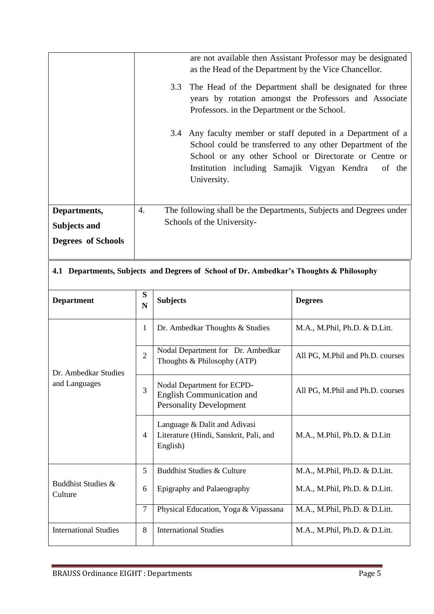|                                                                  | are not available then Assistant Professor may be designated<br>as the Head of the Department by the Vice Chancellor.                                                                                                                                           |
|------------------------------------------------------------------|-----------------------------------------------------------------------------------------------------------------------------------------------------------------------------------------------------------------------------------------------------------------|
|                                                                  | The Head of the Department shall be designated for three<br>3.3<br>years by rotation amongst the Professors and Associate<br>Professors. in the Department or the School.                                                                                       |
|                                                                  | Any faculty member or staff deputed in a Department of a<br>3.4<br>School could be transferred to any other Department of the<br>School or any other School or Directorate or Centre or<br>Institution including Samajik Vigyan Kendra<br>of the<br>University. |
| Departments,<br><b>Subjects and</b><br><b>Degrees of Schools</b> | The following shall be the Departments, Subjects and Degrees under<br>4.<br>Schools of the University-                                                                                                                                                          |
|                                                                  | 4.1 Departments, Subjects and Degrees of School of Dr. Ambedkar's Thoughts & Philosophy                                                                                                                                                                         |

| <b>Department</b>             | S<br>N         | <b>Subjects</b>                                                                                  | <b>Degrees</b>                   |
|-------------------------------|----------------|--------------------------------------------------------------------------------------------------|----------------------------------|
|                               |                |                                                                                                  |                                  |
|                               | $\mathbf{1}$   | Dr. Ambedkar Thoughts & Studies                                                                  | M.A., M.Phil, Ph.D. & D.Litt.    |
| Dr. Ambedkar Studies          | $\overline{2}$ | Nodal Department for Dr. Ambedkar<br>Thoughts $& Philosophy(ATP)$                                | All PG, M.Phil and Ph.D. courses |
| and Languages                 | 3              | Nodal Department for ECPD-<br><b>English Communication and</b><br><b>Personality Development</b> | All PG, M.Phil and Ph.D. courses |
|                               | 4              | Language & Dalit and Adivasi<br>Literature (Hindi, Sanskrit, Pali, and<br>English)               | M.A., M.Phil, Ph.D. & D.Litt     |
|                               | 5              | Buddhist Studies & Culture                                                                       | M.A., M.Phil, Ph.D. & D.Litt.    |
| Buddhist Studies &<br>Culture | 6              | Epigraphy and Palaeography                                                                       | M.A., M.Phil, Ph.D. & D.Litt.    |
|                               | $\overline{7}$ | Physical Education, Yoga & Vipassana                                                             | M.A., M.Phil, Ph.D. & D.Litt.    |
| <b>International Studies</b>  | 8              | <b>International Studies</b>                                                                     | M.A., M.Phil, Ph.D. & D.Litt.    |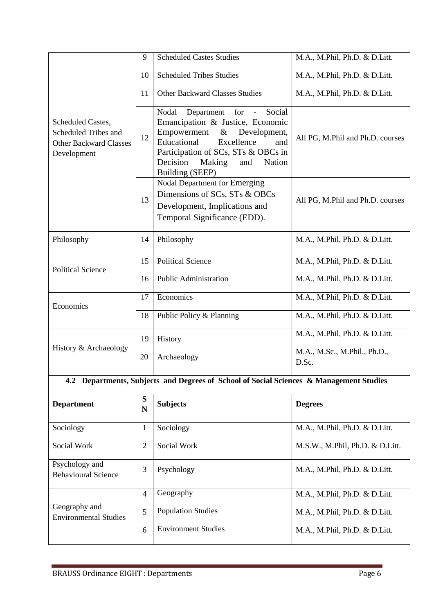|                                                                                           | 9                        | <b>Scheduled Castes Studies</b>                                                                                                                                                                                                                                          | M.A., M.Phil, Ph.D. & D.Litt.               |
|-------------------------------------------------------------------------------------------|--------------------------|--------------------------------------------------------------------------------------------------------------------------------------------------------------------------------------------------------------------------------------------------------------------------|---------------------------------------------|
|                                                                                           | 10                       | <b>Scheduled Tribes Studies</b>                                                                                                                                                                                                                                          | M.A., M.Phil, Ph.D. & D.Litt.               |
|                                                                                           | 11                       | <b>Other Backward Classes Studies</b>                                                                                                                                                                                                                                    | M.A., M.Phil, Ph.D. & D.Litt.               |
| Scheduled Castes,<br>Scheduled Tribes and<br><b>Other Backward Classes</b><br>Development | 12                       | Social<br>for<br>Nodal<br>Department<br>$\equiv$<br>Emancipation & Justice, Economic<br>Empowerment<br>& Development,<br>Educational<br>Excellence<br>and<br>Participation of SCs, STs & OBCs in<br>Decision<br>Making<br>and<br><b>Nation</b><br><b>Building (SEEP)</b> | All PG, M.Phil and Ph.D. courses            |
|                                                                                           | 13                       | Nodal Department for Emerging<br>Dimensions of SCs, STs & OBCs<br>Development, Implications and<br>Temporal Significance (EDD).                                                                                                                                          | All PG, M.Phil and Ph.D. courses            |
| Philosophy                                                                                | 14                       | Philosophy                                                                                                                                                                                                                                                               | M.A., M.Phil, Ph.D. & D.Litt.               |
|                                                                                           | 15                       | <b>Political Science</b>                                                                                                                                                                                                                                                 | M.A., M.Phil, Ph.D. & D.Litt.               |
| <b>Political Science</b>                                                                  | 16                       | <b>Public Administration</b>                                                                                                                                                                                                                                             | M.A., M.Phil, Ph.D. & D.Litt.               |
| Economics                                                                                 | 17                       | Economics                                                                                                                                                                                                                                                                | M.A., M.Phil, Ph.D. & D.Litt.               |
|                                                                                           | 18                       | Public Policy & Planning                                                                                                                                                                                                                                                 | M.A., M.Phil, Ph.D. & D.Litt.               |
|                                                                                           | 19                       | History                                                                                                                                                                                                                                                                  | $\overline{M.A.}$ , M.Phil, Ph.D. & D.Litt. |
| History & Archaeology                                                                     | 20                       | Archaeology                                                                                                                                                                                                                                                              | M.A., M.Sc., M.Phil., Ph.D.,<br>D.Sc.       |
|                                                                                           |                          | 4.2 Departments, Subjects and Degrees of School of Social Sciences & Management Studies                                                                                                                                                                                  |                                             |
| <b>Department</b>                                                                         | ${\bf S}$<br>$\mathbf N$ | <b>Subjects</b>                                                                                                                                                                                                                                                          | <b>Degrees</b>                              |
| Sociology                                                                                 | 1                        | Sociology                                                                                                                                                                                                                                                                | M.A., M.Phil, Ph.D. & D.Litt.               |
| Social Work                                                                               | $\overline{2}$           | Social Work                                                                                                                                                                                                                                                              | M.S.W., M.Phil, Ph.D. & D.Litt.             |
| Psychology and<br><b>Behavioural Science</b>                                              | 3                        | Psychology                                                                                                                                                                                                                                                               | M.A., M.Phil, Ph.D. & D.Litt.               |
|                                                                                           | $\overline{4}$           | Geography                                                                                                                                                                                                                                                                | M.A., M.Phil, Ph.D. & D.Litt.               |
| Geography and<br><b>Environmental Studies</b>                                             | 5                        | <b>Population Studies</b>                                                                                                                                                                                                                                                | M.A., M.Phil, Ph.D. & D.Litt.               |
|                                                                                           | 6                        | <b>Environment Studies</b>                                                                                                                                                                                                                                               | M.A., M.Phil, Ph.D. & D.Litt.               |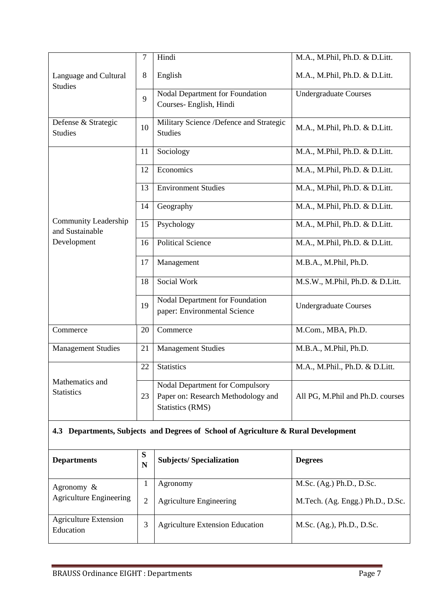|                             | $\overline{7}$ | Hindi                                   | M.A., M.Phil, Ph.D. & D.Litt.    |
|-----------------------------|----------------|-----------------------------------------|----------------------------------|
|                             |                |                                         |                                  |
| Language and Cultural       | 8              | English                                 | M.A., M.Phil, Ph.D. & D.Litt.    |
| <b>Studies</b>              |                |                                         |                                  |
|                             | 9              | Nodal Department for Foundation         | <b>Undergraduate Courses</b>     |
|                             |                | Courses- English, Hindi                 |                                  |
|                             |                |                                         |                                  |
| Defense & Strategic         | 10             | Military Science /Defence and Strategic | M.A., M.Phil, Ph.D. & D.Litt.    |
| <b>Studies</b>              |                | <b>Studies</b>                          |                                  |
|                             |                |                                         |                                  |
|                             | 11             | Sociology                               | M.A., M.Phil, Ph.D. & D.Litt.    |
|                             |                |                                         |                                  |
|                             | 12             | Economics                               | M.A., M.Phil, Ph.D. & D.Litt.    |
|                             | 13             | <b>Environment Studies</b>              | M.A., M.Phil, Ph.D. & D.Litt.    |
|                             |                |                                         |                                  |
|                             | 14             | Geography                               | M.A., M.Phil, Ph.D. & D.Litt.    |
|                             |                |                                         |                                  |
| <b>Community Leadership</b> | 15             | Psychology                              | M.A., M.Phil, Ph.D. & D.Litt.    |
| and Sustainable             |                |                                         |                                  |
| Development                 | 16             | <b>Political Science</b>                | M.A., M.Phil, Ph.D. & D.Litt.    |
|                             |                |                                         |                                  |
|                             | 17             | Management                              | M.B.A., M.Phil, Ph.D.            |
|                             |                |                                         |                                  |
|                             | 18             | Social Work                             | M.S.W., M.Phil, Ph.D. & D.Litt.  |
|                             |                |                                         |                                  |
|                             | 19             | Nodal Department for Foundation         | <b>Undergraduate Courses</b>     |
|                             |                | paper: Environmental Science            |                                  |
|                             |                |                                         |                                  |
| Commerce                    | 20             | Commerce                                | M.Com., MBA, Ph.D.               |
| <b>Management Studies</b>   | 21             | <b>Management Studies</b>               | M.B.A., M.Phil, Ph.D.            |
|                             |                |                                         |                                  |
|                             | 22             | <b>Statistics</b>                       | M.A., M.Phil., Ph.D. & D.Litt.   |
|                             |                |                                         |                                  |
| Mathematics and             |                | <b>Nodal Department for Compulsory</b>  |                                  |
| <b>Statistics</b>           | 23             | Paper on: Research Methodology and      | All PG, M.Phil and Ph.D. courses |
|                             |                | <b>Statistics (RMS)</b>                 |                                  |
|                             |                |                                         |                                  |

### **4.3 Departments, Subjects and Degrees of School of Agriculture & Rural Development**

| <b>Departments</b>                              | S<br>N | <b>Subjects/Specialization</b>             | <b>Degrees</b>                                               |
|-------------------------------------------------|--------|--------------------------------------------|--------------------------------------------------------------|
| Agronomy $\&$<br><b>Agriculture Engineering</b> | 2      | Agronomy<br><b>Agriculture Engineering</b> | M.Sc. (Ag.) Ph.D., D.Sc.<br>M.Tech. (Ag. Engg.) Ph.D., D.Sc. |
| <b>Agriculture Extension</b><br>Education       | 3      | <b>Agriculture Extension Education</b>     | M.Sc. (Ag.), Ph.D., D.Sc.                                    |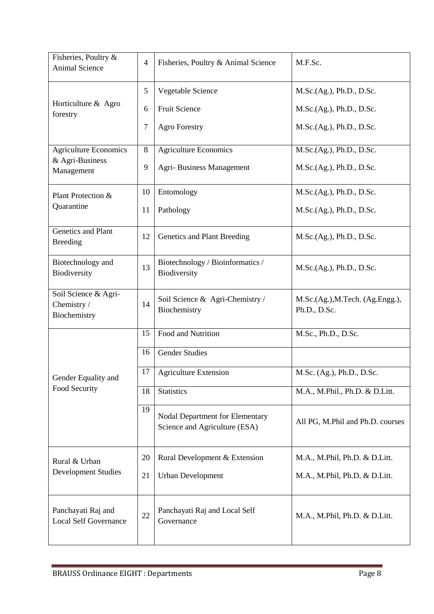| Fisheries, Poultry &<br>Animal Science              | $\overline{4}$ | Fisheries, Poultry & Animal Science                                     | M.F.Sc.                                         |
|-----------------------------------------------------|----------------|-------------------------------------------------------------------------|-------------------------------------------------|
|                                                     | 5              | Vegetable Science                                                       | M.Sc.(Ag.), Ph.D., D.Sc.                        |
| Horticulture & Agro<br>forestry                     | 6              | <b>Fruit Science</b>                                                    | M.Sc.(Ag.), Ph.D., D.Sc.                        |
|                                                     | 7              | <b>Agro Forestry</b>                                                    | M.Sc.(Ag.), Ph.D., D.Sc.                        |
| Agriculture Economics                               | $8\,$          | <b>Agriculture Economics</b>                                            | M.Sc.(Ag.), Ph.D., D.Sc.                        |
| & Agri-Business<br>Management                       | 9              | Agri-Business Management                                                | M.Sc.(Ag.), Ph.D., D.Sc.                        |
| Plant Protection &                                  | 10             | Entomology                                                              | M.Sc.(Ag.), Ph.D., D.Sc.                        |
| Quarantine                                          | 11             | Pathology                                                               | M.Sc.(Ag.), Ph.D., D.Sc.                        |
| Genetics and Plant<br><b>Breeding</b>               | 12             | Genetics and Plant Breeding                                             | M.Sc.(Ag.), Ph.D., D.Sc.                        |
| Biotechnology and<br>Biodiversity                   | 13             | Biotechnology / Bioinformatics /<br>Biodiversity                        | M.Sc.(Ag.), Ph.D., D.Sc.                        |
| Soil Science & Agri-<br>Chemistry /<br>Biochemistry | 14             | Soil Science & Agri-Chemistry /<br>Biochemistry                         | M.Sc.(Ag.), M.Tech. (Ag.Engg.),<br>Ph.D., D.Sc. |
|                                                     | 15             | Food and Nutrition                                                      | M.Sc., Ph.D., D.Sc.                             |
|                                                     | 16             | <b>Gender Studies</b>                                                   |                                                 |
| Gender Equality and                                 | 17             | <b>Agriculture Extension</b>                                            | M.Sc. (Ag.), Ph.D., D.Sc.                       |
| Food Security                                       | 18             | <b>Statistics</b>                                                       | M.A., M.Phil., Ph.D. & D.Litt.                  |
|                                                     | 19             | <b>Nodal Department for Elementary</b><br>Science and Agriculture (ESA) | All PG, M.Phil and Ph.D. courses                |
| Rural & Urban                                       | 20             | Rural Development & Extension                                           | M.A., M.Phil, Ph.D. & D.Litt.                   |
| <b>Development Studies</b>                          | 21             | <b>Urban Development</b>                                                | M.A., M.Phil, Ph.D. & D.Litt.                   |
| Panchayati Raj and<br><b>Local Self Governance</b>  | 22             | Panchayati Raj and Local Self<br>Governance                             | M.A., M.Phil, Ph.D. & D.Litt.                   |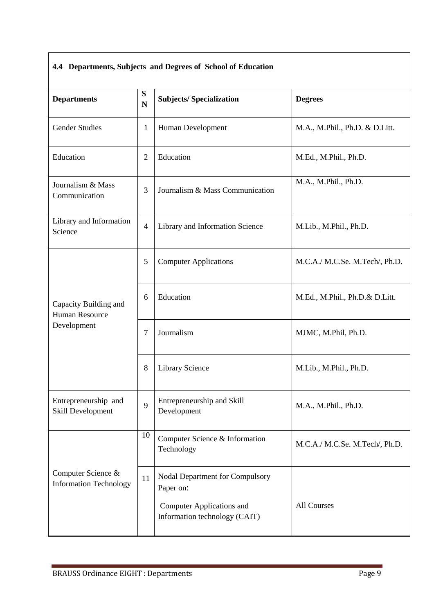#### **4.4 Departments, Subjects and Degrees of School of Education**

| <b>Departments</b>                                  |                | <b>Subjects/Specialization</b>                                                                                    | <b>Degrees</b>                 |  |
|-----------------------------------------------------|----------------|-------------------------------------------------------------------------------------------------------------------|--------------------------------|--|
| <b>Gender Studies</b>                               | $\mathbf{1}$   | Human Development                                                                                                 | M.A., M.Phil., Ph.D. & D.Litt. |  |
| Education                                           |                | Education                                                                                                         | M.Ed., M.Phil., Ph.D.          |  |
| Journalism & Mass<br>Communication                  | 3              | Journalism & Mass Communication                                                                                   | M.A., M.Phil., Ph.D.           |  |
| Library and Information<br>Science                  | $\overline{4}$ | Library and Information Science                                                                                   | M.Lib., M.Phil., Ph.D.         |  |
|                                                     | 5              | <b>Computer Applications</b>                                                                                      | M.C.A./ M.C.Se. M.Tech/, Ph.D. |  |
| Capacity Building and<br><b>Human Resource</b>      | 6              | Education                                                                                                         | M.Ed., M.Phil., Ph.D.& D.Litt. |  |
| Development                                         | 7              | Journalism                                                                                                        | MJMC, M.Phil, Ph.D.            |  |
|                                                     | 8              | Library Science                                                                                                   | M.Lib., M.Phil., Ph.D.         |  |
| Entrepreneurship and<br>Skill Development           | 9              | Entrepreneurship and Skill<br>Development                                                                         | M.A., M.Phil., Ph.D.           |  |
|                                                     | 10             | Computer Science & Information<br>Technology                                                                      | M.C.A./ M.C.Se. M.Tech/, Ph.D. |  |
| Computer Science &<br><b>Information Technology</b> | 11             | Nodal Department for Compulsory<br>Paper on:<br><b>Computer Applications and</b><br>Information technology (CAIT) | All Courses                    |  |